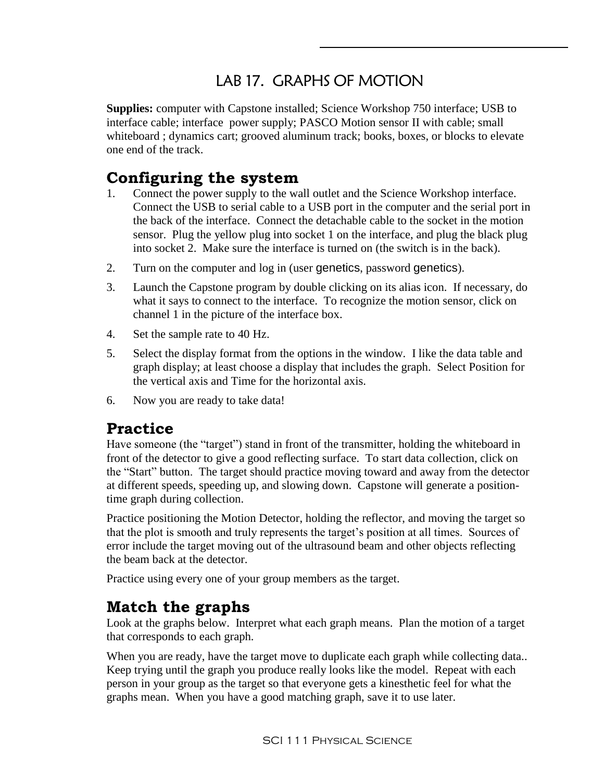# LAB 17. GRAPHS OF MOTION

**Supplies:** computer with Capstone installed; Science Workshop 750 interface; USB to interface cable; interface power supply; PASCO Motion sensor II with cable; small whiteboard ; dynamics cart; grooved aluminum track; books, boxes, or blocks to elevate one end of the track.

## **Configuring the system**

- 1. Connect the power supply to the wall outlet and the Science Workshop interface. Connect the USB to serial cable to a USB port in the computer and the serial port in the back of the interface. Connect the detachable cable to the socket in the motion sensor. Plug the yellow plug into socket 1 on the interface, and plug the black plug into socket 2. Make sure the interface is turned on (the switch is in the back).
- 2. Turn on the computer and log in (user genetics, password genetics).
- 3. Launch the Capstone program by double clicking on its alias icon. If necessary, do what it says to connect to the interface. To recognize the motion sensor, click on channel 1 in the picture of the interface box.
- 4. Set the sample rate to 40 Hz.
- 5. Select the display format from the options in the window. I like the data table and graph display; at least choose a display that includes the graph. Select Position for the vertical axis and Time for the horizontal axis.
- 6. Now you are ready to take data!

### **Practice**

Have someone (the "target") stand in front of the transmitter, holding the whiteboard in front of the detector to give a good reflecting surface. To start data collection, click on the "Start" button. The target should practice moving toward and away from the detector at different speeds, speeding up, and slowing down. Capstone will generate a positiontime graph during collection.

Practice positioning the Motion Detector, holding the reflector, and moving the target so that the plot is smooth and truly represents the target's position at all times. Sources of error include the target moving out of the ultrasound beam and other objects reflecting the beam back at the detector.

Practice using every one of your group members as the target.

### **Match the graphs**

Look at the graphs below. Interpret what each graph means. Plan the motion of a target that corresponds to each graph.

When you are ready, have the target move to duplicate each graph while collecting data.. Keep trying until the graph you produce really looks like the model. Repeat with each person in your group as the target so that everyone gets a kinesthetic feel for what the graphs mean. When you have a good matching graph, save it to use later.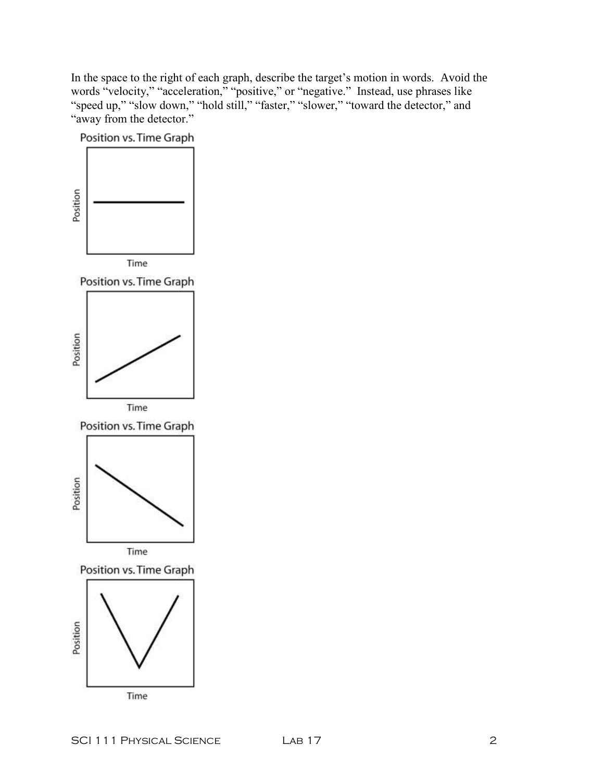In the space to the right of each graph, describe the target's motion in words. Avoid the words "velocity," "acceleration," "positive," or "negative." Instead, use phrases like "speed up," "slow down," "hold still," "faster," "slower," "toward the detector," and "away from the detector."

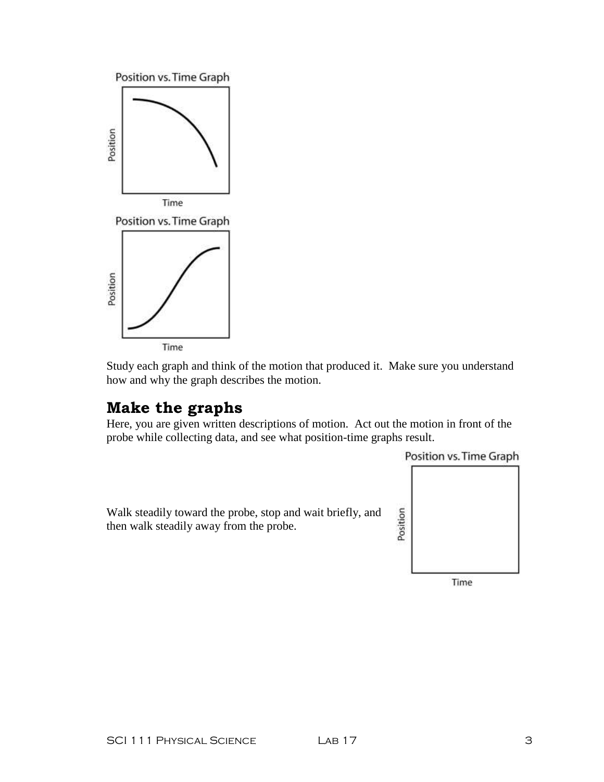

Study each graph and think of the motion that produced it. Make sure you understand how and why the graph describes the motion.

### **Make the graphs**

Here, you are given written descriptions of motion. Act out the motion in front of the probe while collecting data, and see what position-time graphs result.

Position vs. Time Graph

Walk steadily toward the probe, stop and wait briefly, and then walk steadily away from the probe.

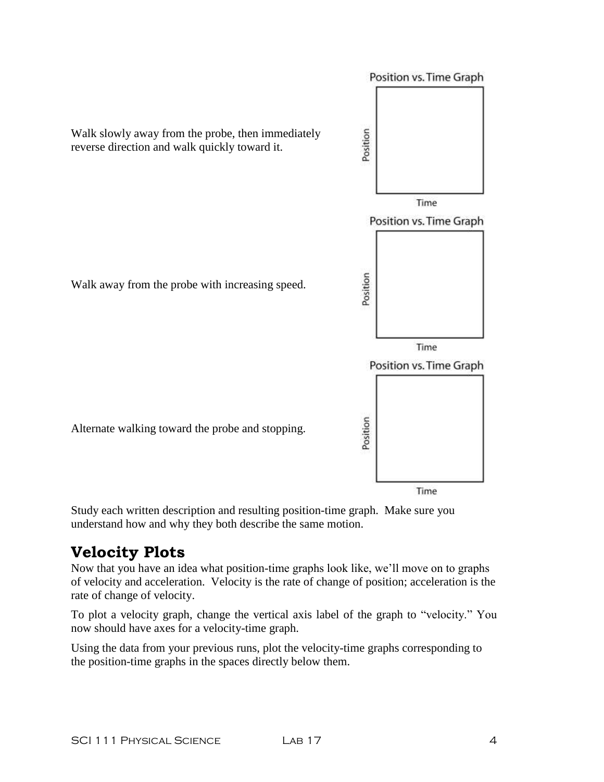

Study each written description and resulting position-time graph. Make sure you understand how and why they both describe the same motion.

# **Velocity Plots**

Now that you have an idea what position-time graphs look like, we'll move on to graphs of velocity and acceleration. Velocity is the rate of change of position; acceleration is the rate of change of velocity.

To plot a velocity graph, change the vertical axis label of the graph to "velocity." You now should have axes for a velocity-time graph.

Using the data from your previous runs, plot the velocity-time graphs corresponding to the position-time graphs in the spaces directly below them.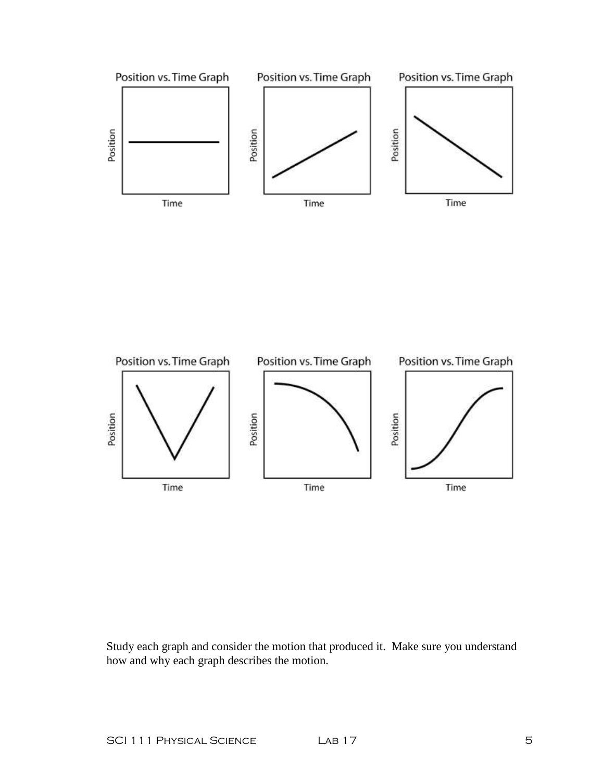



Study each graph and consider the motion that produced it. Make sure you understand how and why each graph describes the motion.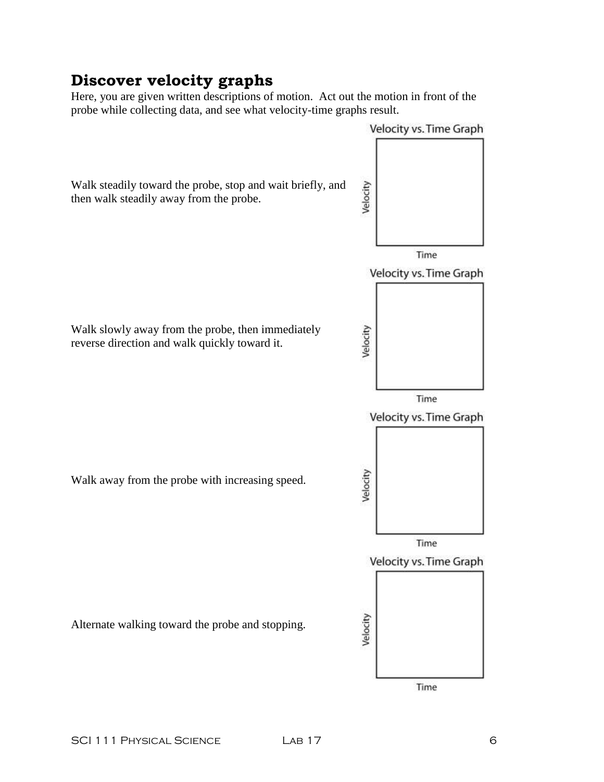## **Discover velocity graphs**

Here, you are given written descriptions of motion. Act out the motion in front of the probe while collecting data, and see what velocity-time graphs result.